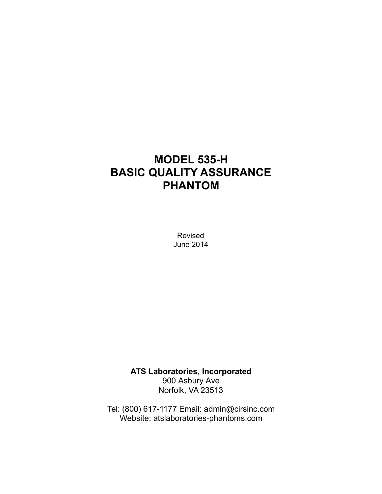# **MODEL 535-H BASIC QUALITY ASSURANCE PHANTOM**

Revised June 2014

**ATS Laboratories, Incorporated**  900 Asbury Ave Norfolk, VA 23513

Tel: (800) 617-1177 Email: admin@cirsinc.com Website: atslaboratories-phantoms.com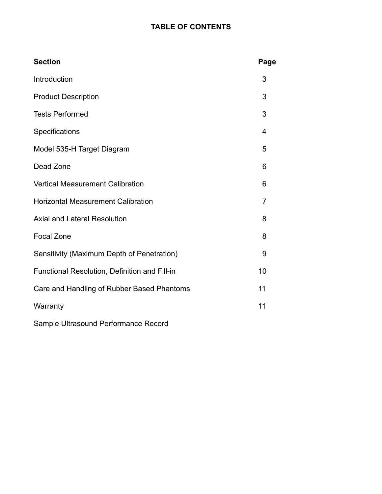# **TABLE OF CONTENTS**

| <b>Section</b>                                | Page           |
|-----------------------------------------------|----------------|
| Introduction                                  | 3              |
| <b>Product Description</b>                    | 3              |
| <b>Tests Performed</b>                        | 3              |
| Specifications                                | $\overline{4}$ |
| Model 535-H Target Diagram                    | 5              |
| Dead Zone                                     | 6              |
| <b>Vertical Measurement Calibration</b>       | 6              |
| <b>Horizontal Measurement Calibration</b>     | $\overline{7}$ |
| <b>Axial and Lateral Resolution</b>           | 8              |
| <b>Focal Zone</b>                             | 8              |
| Sensitivity (Maximum Depth of Penetration)    | 9              |
| Functional Resolution, Definition and Fill-in | 10             |
| Care and Handling of Rubber Based Phantoms    | 11             |
| Warranty                                      | 11             |
| Sample Ultrasound Performance Record          |                |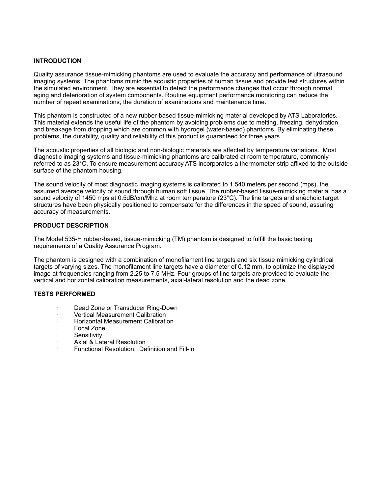# **INTRODUCTION**

Quality assurance tissue-mimicking phantoms are used to evaluate the accuracy and performance of ultrasound imaging systems. The phantoms mimic the acoustic properties of human tissue and provide test structures within the simulated environment. They are essential to detect the performance changes that occur through normal aging and deterioration of system components. Routine equipment performance monitoring can reduce the number of repeat examinations, the duration of examinations and maintenance time.

This phantom is constructed of a new rubber-based tissue-mimicking material developed by ATS Laboratories. This material extends the useful life of the phantom by avoiding problems due to melting, freezing, dehydration and breakage from dropping which are common with hydrogel (water-based) phantoms. By eliminating these problems, the durability, quality and reliability of this product is guaranteed for three years.

The acoustic properties of all biologic and non-biologic materials are affected by temperature variations. Most diagnostic imaging systems and tissue-mimicking phantoms are calibrated at room temperature, commonly referred to as 23°C. To ensure measurement accuracy ATS incorporates a thermometer strip affixed to the outside surface of the phantom housing.

The sound velocity of most diagnostic imaging systems is calibrated to 1,540 meters per second (mps), the assumed average velocity of sound through human soft tissue. The rubber-based tissue-mimicking material has a sound velocity of 1450 mps at 0.5dB/cm/Mhz at room temperature (23°C). The line targets and anechoic target structures have been physically positioned to compensate for the differences in the speed of sound, assuring accuracy of measurements.

# **PRODUCT DESCRIPTION**

The Model 535-H rubber-based, tissue-mimicking (TM) phantom is designed to fulfill the basic testing requirements of a Quality Assurance Program.

The phantom is designed with a combination of monofilament line targets and six tissue mimicking cylindrical targets of varying sizes. The monofilament line targets have a diameter of 0.12 mm, to optimize the displayed image at frequencies ranging from 2.25 to 7.5 MHz. Four groups of line targets are provided to evaluate the vertical and horizontal calibration measurements, axial-lateral resolution and the dead zone.

# **TESTS PERFORMED**

- · Dead Zone or Transducer Ring-Down
- · Vertical Measurement Calibration
- · Horizontal Measurement Calibration
- Focal Zone
- **Sensitivity**
- Axial & Lateral Resolution
- · Functional Resolution, Definition and Fill-In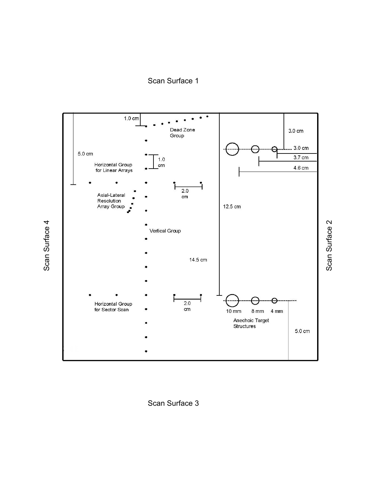Scan Surface 1



Scan Surface 3

Scan Surface 4 Scan Surface 4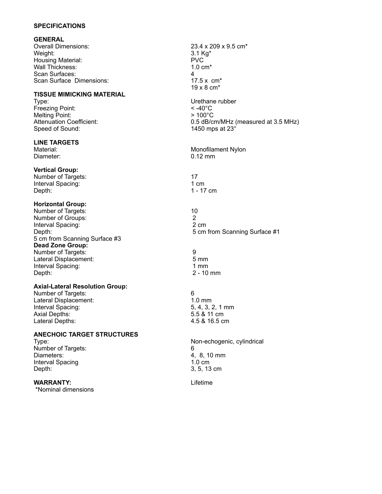# **SPECIFICATIONS**

#### **GENERAL**

Overall Dimensions: 23.4 x 209 x 9.5 cm\* Weight: 3.1 Kg\* Housing Material: The PVC PVC POST PVC PVC POST POST OF THE POST OF THE POST OF THE POST OF THE POST OF THE PO<br>
POST OF THE POST OF THE POST OF THE POST OF THE POST OF THE POST OF THE POST OF THE POST OF THE POST OF THE P Wall Thickness: Scan Surfaces:  $\begin{array}{ccc} 4 & 4 \\ 2 & 17.5 \times \text{cm}^* \end{array}$ Scan Surface Dimensions:

# **TISSUE MIMICKING MATERIAL**

Freezing Point: Melting Point: Attenuation Coefficient: Speed of Sound:

# **LINE TARGETS**

# **Vertical Group:**

Number of Targets: 17<br>
Interval Spacing: 17<br>
17<br>
17 Interval Spacing: Depth: 1 - 17 cm

# **Horizontal Group:**

Number of Targets: 10 Number of Groups: 2<br>
Interval Spacing: 2 and 2 and 2 cm Interval Spacing: 5 cm from Scanning Surface #3 **Dead Zone Group:** Number of Targets: 9 Lateral Displacement: 5 mm Interval Spacing:<br>Depth:

# **Axial-Lateral Resolution Group:**

Number of Targets: 6 Lateral Displacement: 1.0 mm<br>
Interval Spacing: 1.0 mm<br>
1.0 mm<br>
5.4, 3, 2, 1 mm Interval Spacing: Axial Depths: 5.5 & 11 cm Lateral Depths: 4.5 & 16.5 cm

# **ANECHOIC TARGET STRUCTURES**

Number of Targets: 6 Diameters:  $\frac{3}{4}$ , 8, 10 mm Interval Spacing 1.0 cm Depth: 3, 5, 13 cm

# **WARRANTY:** Lifetime

\*Nominal dimensions

19 x 8 cm\* Urethane rubber<br> $< -40^{\circ}$ C > 100°C 0.5 dB/cm/MHz (measured at 3.5 MHz) 1450 mps at 23° Material: Material: Monofilament Nylon Diameter: 0.12 mm Depth: 5 cm from Scanning Surface #1  $2 - 10$  mm Type: Non-echogenic, cylindrical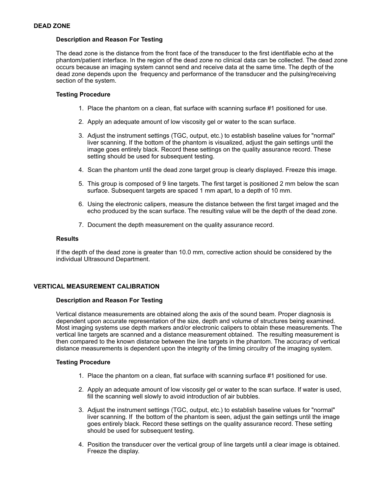# **Description and Reason For Testing**

The dead zone is the distance from the front face of the transducer to the first identifiable echo at the phantom/patient interface. In the region of the dead zone no clinical data can be collected. The dead zone occurs because an imaging system cannot send and receive data at the same time. The depth of the dead zone depends upon the frequency and performance of the transducer and the pulsing/receiving section of the system.

# **Testing Procedure**

- 1. Place the phantom on a clean, flat surface with scanning surface #1 positioned for use.
- 2. Apply an adequate amount of low viscosity gel or water to the scan surface.
- 3. Adjust the instrument settings (TGC, output, etc.) to establish baseline values for "normal" liver scanning. If the bottom of the phantom is visualized, adjust the gain settings until the image goes entirely black. Record these settings on the quality assurance record. These setting should be used for subsequent testing.
- 4. Scan the phantom until the dead zone target group is clearly displayed. Freeze this image.
- 5. This group is composed of 9 line targets. The first target is positioned 2 mm below the scan surface. Subsequent targets are spaced 1 mm apart, to a depth of 10 mm.
- 6. Using the electronic calipers, measure the distance between the first target imaged and the echo produced by the scan surface. The resulting value will be the depth of the dead zone.
- 7. Document the depth measurement on the quality assurance record.

# **Results**

If the depth of the dead zone is greater than 10.0 mm, corrective action should be considered by the individual Ultrasound Department.

# **VERTICAL MEASUREMENT CALIBRATION**

# **Description and Reason For Testing**

Vertical distance measurements are obtained along the axis of the sound beam. Proper diagnosis is dependent upon accurate representation of the size, depth and volume of structures being examined. Most imaging systems use depth markers and/or electronic calipers to obtain these measurements. The vertical line targets are scanned and a distance measurement obtained. The resulting measurement is then compared to the known distance between the line targets in the phantom. The accuracy of vertical distance measurements is dependent upon the integrity of the timing circuitry of the imaging system.

# **Testing Procedure**

- 1. Place the phantom on a clean, flat surface with scanning surface #1 positioned for use.
- 2. Apply an adequate amount of low viscosity gel or water to the scan surface. If water is used, fill the scanning well slowly to avoid introduction of air bubbles.
- 3. Adjust the instrument settings (TGC, output, etc.) to establish baseline values for "normal" liver scanning. If the bottom of the phantom is seen, adjust the gain settings until the image goes entirely black. Record these settings on the quality assurance record. These setting should be used for subsequent testing.
- 4. Position the transducer over the vertical group of line targets until a clear image is obtained. Freeze the display.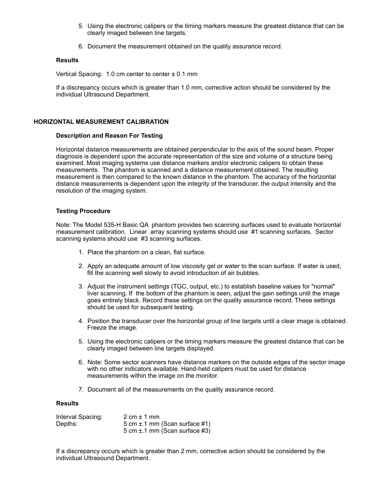- 5. Using the electronic calipers or the timing markers measure the greatest distance that can be clearly imaged between line targets.
- 6. Document the measurement obtained on the quality assurance record.

# **Results**

Vertical Spacing: 1.0 cm center to center  $\pm$  0.1 mm

If a discrepancy occurs which is greater than 1.0 mm, corrective action should be considered by the individual Ultrasound Department.

# **HORIZONTAL MEASUREMENT CALIBRATION**

# **Description and Reason For Testing**

Horizontal distance measurements are obtained perpendicular to the axis of the sound beam. Proper diagnosis is dependent upon the accurate representation of the size and volume of a structure being examined. Most imaging systems use distance markers and/or electronic calipers to obtain these measurements. The phantom is scanned and a distance measurement obtained. The resulting measurement is then compared to the known distance in the phantom. The accuracy of the horizontal distance measurements is dependent upon the integrity of the transducer, the output intensity and the resolution of the imaging system.

# **Testing Procedure**

Note: The Model 535-H Basic QA phantom provides two scanning surfaces used to evaluate horizontal measurement calibration. Linear array scanning systems should use #1 scanning surfaces. Sector scanning systems should use #3 scanning surfaces.

- 1. Place the phantom on a clean, flat surface.
- 2. Apply an adequate amount of low viscosity gel or water to the scan surface. If water is used, fill the scanning well slowly to avoid introduction of air bubbles.
- 3. Adjust the instrument settings (TGC, output, etc.) to establish baseline values for "normal" liver scanning. If the bottom of the phantom is seen, adjust the gain settings until the image goes entirely black. Record these settings on the quality assurance record. These settings should be used for subsequent testing.
- 4. Position the transducer over the horizontal group of line targets until a clear image is obtained. Freeze the image.
- 5. Using the electronic calipers or the timing markers measure the greatest distance that can be clearly imaged between line targets displayed.
- 6. Note: Some sector scanners have distance markers on the outside edges of the sector image with no other indicators available. Hand-held calipers must be used for distance measurements within the image on the monitor.
- 7. Document all of the measurements on the quality assurance record.

# **Results**

| Interval Spacing: | $2 \text{ cm} \pm 1 \text{ mm}$    |
|-------------------|------------------------------------|
| Depths:           | 5 cm $\pm$ .1 mm (Scan surface #1) |
|                   | 5 cm $\pm$ .1 mm (Scan surface #3) |

If a discrepancy occurs which is greater than 2 mm, corrective action should be considered by the individual Ultrasound Department.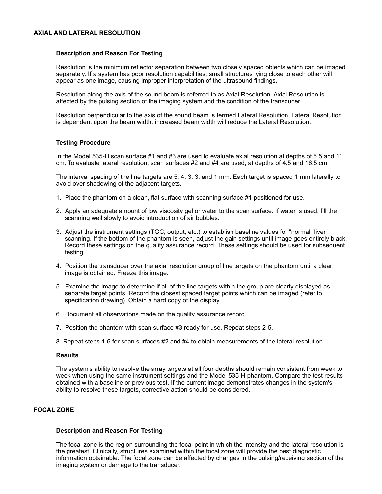# **AXIAL AND LATERAL RESOLUTION**

# **Description and Reason For Testing**

Resolution is the minimum reflector separation between two closely spaced objects which can be imaged separately. If a system has poor resolution capabilities, small structures lying close to each other will appear as one image, causing improper interpretation of the ultrasound findings.

Resolution along the axis of the sound beam is referred to as Axial Resolution. Axial Resolution is affected by the pulsing section of the imaging system and the condition of the transducer.

Resolution perpendicular to the axis of the sound beam is termed Lateral Resolution. Lateral Resolution is dependent upon the beam width, increased beam width will reduce the Lateral Resolution.

# **Testing Procedure**

In the Model 535-H scan surface #1 and #3 are used to evaluate axial resolution at depths of 5.5 and 11 cm. To evaluate lateral resolution, scan surfaces #2 and #4 are used, at depths of 4.5 and 16.5 cm.

The interval spacing of the line targets are 5, 4, 3, 3, and 1 mm. Each target is spaced 1 mm laterally to avoid over shadowing of the adjacent targets.

- 1. Place the phantom on a clean, flat surface with scanning surface #1 positioned for use.
- 2. Apply an adequate amount of low viscosity gel or water to the scan surface. If water is used, fill the scanning well slowly to avoid introduction of air bubbles.
- 3. Adjust the instrument settings (TGC, output, etc.) to establish baseline values for "normal" liver scanning. If the bottom of the phantom is seen, adjust the gain settings until image goes entirely black. Record these settings on the quality assurance record. These settings should be used for subsequent testing.
- 4. Position the transducer over the axial resolution group of line targets on the phantom until a clear image is obtained. Freeze this image.
- 5. Examine the image to determine if all of the line targets within the group are clearly displayed as separate target points. Record the closest spaced target points which can be imaged (refer to specification drawing). Obtain a hard copy of the display.
- 6. Document all observations made on the quality assurance record.
- 7. Position the phantom with scan surface #3 ready for use. Repeat steps 2-5.
- 8. Repeat steps 1-6 for scan surfaces #2 and #4 to obtain measurements of the lateral resolution.

#### **Results**

The system's ability to resolve the array targets at all four depths should remain consistent from week to week when using the same instrument settings and the Model 535-H phantom. Compare the test results obtained with a baseline or previous test. If the current image demonstrates changes in the system's ability to resolve these targets, corrective action should be considered.

# **FOCAL ZONE**

#### **Description and Reason For Testing**

The focal zone is the region surrounding the focal point in which the intensity and the lateral resolution is the greatest. Clinically, structures examined within the focal zone will provide the best diagnostic information obtainable. The focal zone can be affected by changes in the pulsing/receiving section of the imaging system or damage to the transducer.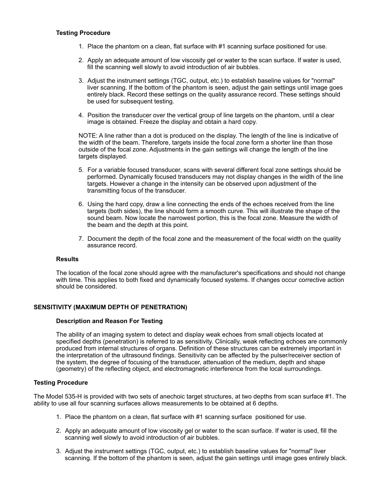# **Testing Procedure**

- 1. Place the phantom on a clean, flat surface with #1 scanning surface positioned for use.
- 2. Apply an adequate amount of low viscosity gel or water to the scan surface. If water is used, fill the scanning well slowly to avoid introduction of air bubbles.
- 3. Adjust the instrument settings (TGC, output, etc.) to establish baseline values for "normal" liver scanning. If the bottom of the phantom is seen, adjust the gain settings until image goes entirely black. Record these settings on the quality assurance record. These settings should be used for subsequent testing.
- 4. Position the transducer over the vertical group of line targets on the phantom, until a clear image is obtained. Freeze the display and obtain a hard copy.

NOTE: A line rather than a dot is produced on the display. The length of the line is indicative of the width of the beam. Therefore, targets inside the focal zone form a shorter line than those outside of the focal zone. Adjustments in the gain settings will change the length of the line targets displayed.

- 5. For a variable focused transducer, scans with several different focal zone settings should be performed. Dynamically focused transducers may not display changes in the width of the line targets. However a change in the intensity can be observed upon adjustment of the transmitting focus of the transducer.
- 6. Using the hard copy, draw a line connecting the ends of the echoes received from the line targets (both sides), the line should form a smooth curve. This will illustrate the shape of the sound beam. Now locate the narrowest portion, this is the focal zone. Measure the width of the beam and the depth at this point.
- 7. Document the depth of the focal zone and the measurement of the focal width on the quality assurance record.

# **Results**

The location of the focal zone should agree with the manufacturer's specifications and should not change with time. This applies to both fixed and dynamically focused systems. If changes occur corrective action should be considered.

# **SENSITIVITY (MAXIMUM DEPTH OF PENETRATION)**

# **Description and Reason For Testing**

The ability of an imaging system to detect and display weak echoes from small objects located at specified depths (penetration) is referred to as sensitivity. Clinically, weak reflecting echoes are commonly produced from internal structures of organs. Definition of these structures can be extremely important in the interpretation of the ultrasound findings. Sensitivity can be affected by the pulser/receiver section of the system, the degree of focusing of the transducer, attenuation of the medium, depth and shape (geometry) of the reflecting object, and electromagnetic interference from the local surroundings.

# **Testing Procedure**

The Model 535-H is provided with two sets of anechoic target structures, at two depths from scan surface #1. The ability to use all four scanning surfaces allows measurements to be obtained at 6 depths.

- 1. Place the phantom on a clean, flat surface with #1 scanning surface positioned for use.
- 2. Apply an adequate amount of low viscosity gel or water to the scan surface. If water is used, fill the scanning well slowly to avoid introduction of air bubbles.
- 3. Adjust the instrument settings (TGC, output, etc.) to establish baseline values for "normal" liver scanning. If the bottom of the phantom is seen, adjust the gain settings until image goes entirely black.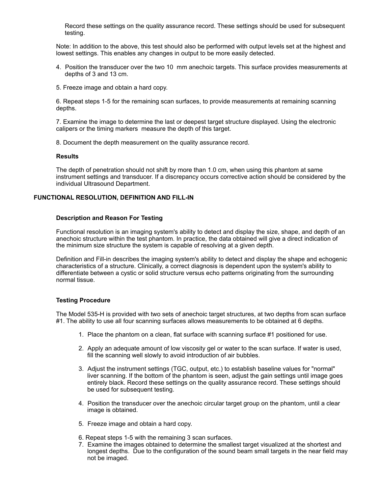Record these settings on the quality assurance record. These settings should be used for subsequent testing.

Note: In addition to the above, this test should also be performed with output levels set at the highest and lowest settings. This enables any changes in output to be more easily detected.

- 4. Position the transducer over the two 10 mm anechoic targets. This surface provides measurements at depths of 3 and 13 cm.
- 5. Freeze image and obtain a hard copy.

6. Repeat steps 1-5 for the remaining scan surfaces, to provide measurements at remaining scanning depths.

7. Examine the image to determine the last or deepest target structure displayed. Using the electronic calipers or the timing markers measure the depth of this target.

8. Document the depth measurement on the quality assurance record.

# **Results**

The depth of penetration should not shift by more than 1.0 cm, when using this phantom at same instrument settings and transducer. If a discrepancy occurs corrective action should be considered by the individual Ultrasound Department.

# **FUNCTIONAL RESOLUTION, DEFINITION AND FILL-IN**

# **Description and Reason For Testing**

Functional resolution is an imaging system's ability to detect and display the size, shape, and depth of an anechoic structure within the test phantom. In practice, the data obtained will give a direct indication of the minimum size structure the system is capable of resolving at a given depth.

Definition and Fill-in describes the imaging system's ability to detect and display the shape and echogenic characteristics of a structure. Clinically, a correct diagnosis is dependent upon the system's ability to differentiate between a cystic or solid structure versus echo patterns originating from the surrounding normal tissue.

# **Testing Procedure**

The Model 535-H is provided with two sets of anechoic target structures, at two depths from scan surface #1. The ability to use all four scanning surfaces allows measurements to be obtained at 6 depths.

- 1. Place the phantom on a clean, flat surface with scanning surface #1 positioned for use.
- 2. Apply an adequate amount of low viscosity gel or water to the scan surface. If water is used, fill the scanning well slowly to avoid introduction of air bubbles.
- 3. Adjust the instrument settings (TGC, output, etc.) to establish baseline values for "normal" liver scanning. If the bottom of the phantom is seen, adjust the gain settings until image goes entirely black. Record these settings on the quality assurance record. These settings should be used for subsequent testing.
- 4. Position the transducer over the anechoic circular target group on the phantom, until a clear image is obtained.
- 5. Freeze image and obtain a hard copy.
- 6. Repeat steps 1-5 with the remaining 3 scan surfaces.
- 7. Examine the images obtained to determine the smallest target visualized at the shortest and longest depths. Due to the configuration of the sound beam small targets in the near field may not be imaged.